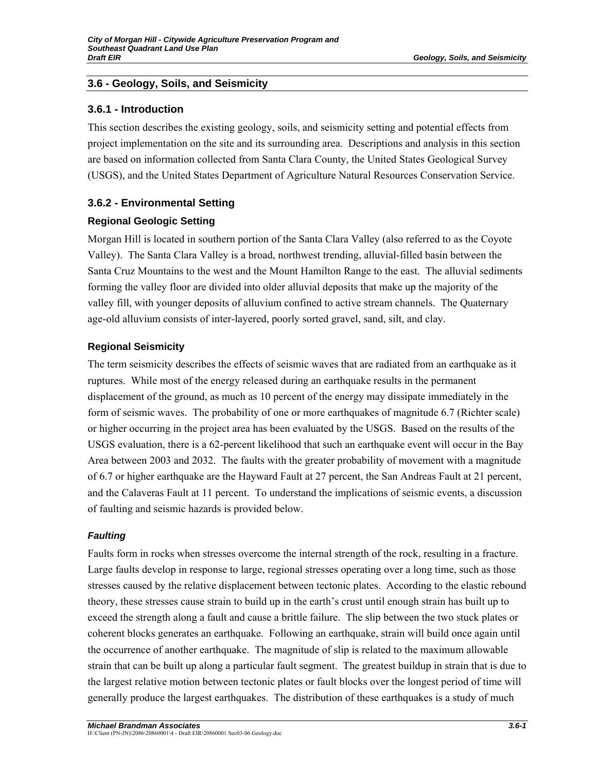## **3.6.1 - Introduction**

This section describes the existing geology, soils, and seismicity setting and potential effects from project implementation on the site and its surrounding area. Descriptions and analysis in this section are based on information collected from Santa Clara County, the United States Geological Survey (USGS), and the United States Department of Agriculture Natural Resources Conservation Service.

# **3.6.2 - Environmental Setting**

# **Regional Geologic Setting**

Morgan Hill is located in southern portion of the Santa Clara Valley (also referred to as the Coyote Valley). The Santa Clara Valley is a broad, northwest trending, alluvial-filled basin between the Santa Cruz Mountains to the west and the Mount Hamilton Range to the east. The alluvial sediments forming the valley floor are divided into older alluvial deposits that make up the majority of the valley fill, with younger deposits of alluvium confined to active stream channels. The Quaternary age-old alluvium consists of inter-layered, poorly sorted gravel, sand, silt, and clay.

# **Regional Seismicity**

The term seismicity describes the effects of seismic waves that are radiated from an earthquake as it ruptures. While most of the energy released during an earthquake results in the permanent displacement of the ground, as much as 10 percent of the energy may dissipate immediately in the form of seismic waves. The probability of one or more earthquakes of magnitude 6.7 (Richter scale) or higher occurring in the project area has been evaluated by the USGS. Based on the results of the USGS evaluation, there is a 62-percent likelihood that such an earthquake event will occur in the Bay Area between 2003 and 2032. The faults with the greater probability of movement with a magnitude of 6.7 or higher earthquake are the Hayward Fault at 27 percent, the San Andreas Fault at 21 percent, and the Calaveras Fault at 11 percent. To understand the implications of seismic events, a discussion of faulting and seismic hazards is provided below.

# *Faulting*

Faults form in rocks when stresses overcome the internal strength of the rock, resulting in a fracture. Large faults develop in response to large, regional stresses operating over a long time, such as those stresses caused by the relative displacement between tectonic plates. According to the elastic rebound theory, these stresses cause strain to build up in the earth's crust until enough strain has built up to exceed the strength along a fault and cause a brittle failure. The slip between the two stuck plates or coherent blocks generates an earthquake. Following an earthquake, strain will build once again until the occurrence of another earthquake. The magnitude of slip is related to the maximum allowable strain that can be built up along a particular fault segment. The greatest buildup in strain that is due to the largest relative motion between tectonic plates or fault blocks over the longest period of time will generally produce the largest earthquakes. The distribution of these earthquakes is a study of much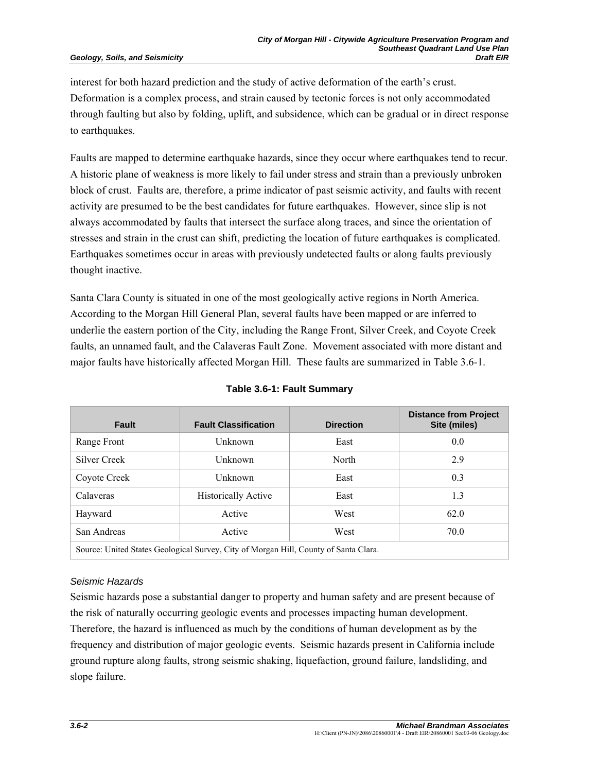interest for both hazard prediction and the study of active deformation of the earth's crust. Deformation is a complex process, and strain caused by tectonic forces is not only accommodated through faulting but also by folding, uplift, and subsidence, which can be gradual or in direct response to earthquakes.

Faults are mapped to determine earthquake hazards, since they occur where earthquakes tend to recur. A historic plane of weakness is more likely to fail under stress and strain than a previously unbroken block of crust. Faults are, therefore, a prime indicator of past seismic activity, and faults with recent activity are presumed to be the best candidates for future earthquakes. However, since slip is not always accommodated by faults that intersect the surface along traces, and since the orientation of stresses and strain in the crust can shift, predicting the location of future earthquakes is complicated. Earthquakes sometimes occur in areas with previously undetected faults or along faults previously thought inactive.

Santa Clara County is situated in one of the most geologically active regions in North America. According to the Morgan Hill General Plan, several faults have been mapped or are inferred to underlie the eastern portion of the City, including the Range Front, Silver Creek, and Coyote Creek faults, an unnamed fault, and the Calaveras Fault Zone. Movement associated with more distant and major faults have historically affected Morgan Hill. These faults are summarized in Table 3.6-1.

| <b>Fault</b>                                                                         | <b>Fault Classification</b> | <b>Direction</b> | <b>Distance from Project</b><br>Site (miles) |
|--------------------------------------------------------------------------------------|-----------------------------|------------------|----------------------------------------------|
| Range Front                                                                          | Unknown                     | East             | 0.0                                          |
| Silver Creek                                                                         | Unknown                     | North            | 2.9                                          |
| Coyote Creek                                                                         | Unknown                     | East             | 0.3                                          |
| Calaveras                                                                            | <b>Historically Active</b>  | East             | 1.3                                          |
| Hayward                                                                              | Active                      | West             | 62.0                                         |
| San Andreas                                                                          | Active                      | West             | 70.0                                         |
| Source: United States Geological Survey, City of Morgan Hill, County of Santa Clara. |                             |                  |                                              |

## **Table 3.6-1: Fault Summary**

## *Seismic Hazards*

Seismic hazards pose a substantial danger to property and human safety and are present because of the risk of naturally occurring geologic events and processes impacting human development. Therefore, the hazard is influenced as much by the conditions of human development as by the frequency and distribution of major geologic events. Seismic hazards present in California include ground rupture along faults, strong seismic shaking, liquefaction, ground failure, landsliding, and slope failure.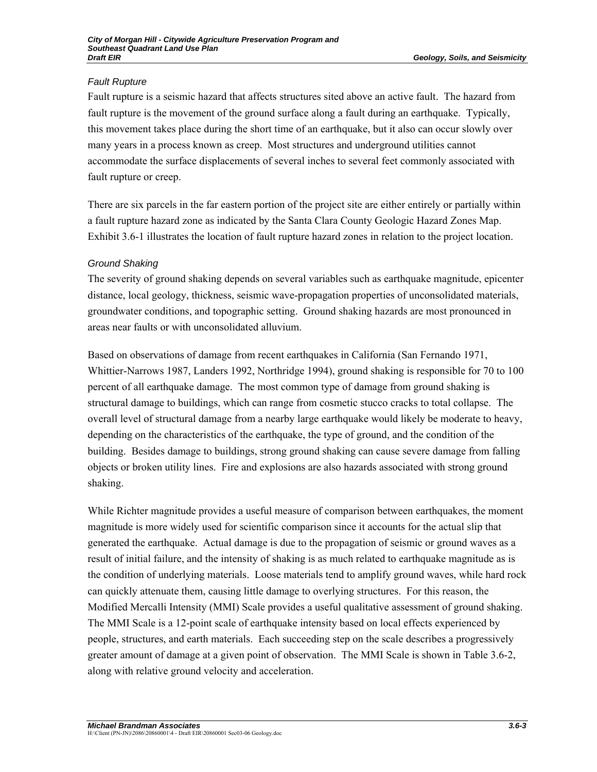# *Fault Rupture*

Fault rupture is a seismic hazard that affects structures sited above an active fault. The hazard from fault rupture is the movement of the ground surface along a fault during an earthquake. Typically, this movement takes place during the short time of an earthquake, but it also can occur slowly over many years in a process known as creep. Most structures and underground utilities cannot accommodate the surface displacements of several inches to several feet commonly associated with fault rupture or creep.

There are six parcels in the far eastern portion of the project site are either entirely or partially within a fault rupture hazard zone as indicated by the Santa Clara County Geologic Hazard Zones Map. Exhibit 3.6-1 illustrates the location of fault rupture hazard zones in relation to the project location.

# *Ground Shaking*

The severity of ground shaking depends on several variables such as earthquake magnitude, epicenter distance, local geology, thickness, seismic wave-propagation properties of unconsolidated materials, groundwater conditions, and topographic setting. Ground shaking hazards are most pronounced in areas near faults or with unconsolidated alluvium.

Based on observations of damage from recent earthquakes in California (San Fernando 1971, Whittier-Narrows 1987, Landers 1992, Northridge 1994), ground shaking is responsible for 70 to 100 percent of all earthquake damage. The most common type of damage from ground shaking is structural damage to buildings, which can range from cosmetic stucco cracks to total collapse. The overall level of structural damage from a nearby large earthquake would likely be moderate to heavy, depending on the characteristics of the earthquake, the type of ground, and the condition of the building. Besides damage to buildings, strong ground shaking can cause severe damage from falling objects or broken utility lines. Fire and explosions are also hazards associated with strong ground shaking.

While Richter magnitude provides a useful measure of comparison between earthquakes, the moment magnitude is more widely used for scientific comparison since it accounts for the actual slip that generated the earthquake. Actual damage is due to the propagation of seismic or ground waves as a result of initial failure, and the intensity of shaking is as much related to earthquake magnitude as is the condition of underlying materials. Loose materials tend to amplify ground waves, while hard rock can quickly attenuate them, causing little damage to overlying structures. For this reason, the Modified Mercalli Intensity (MMI) Scale provides a useful qualitative assessment of ground shaking. The MMI Scale is a 12-point scale of earthquake intensity based on local effects experienced by people, structures, and earth materials. Each succeeding step on the scale describes a progressively greater amount of damage at a given point of observation. The MMI Scale is shown in Table 3.6-2, along with relative ground velocity and acceleration.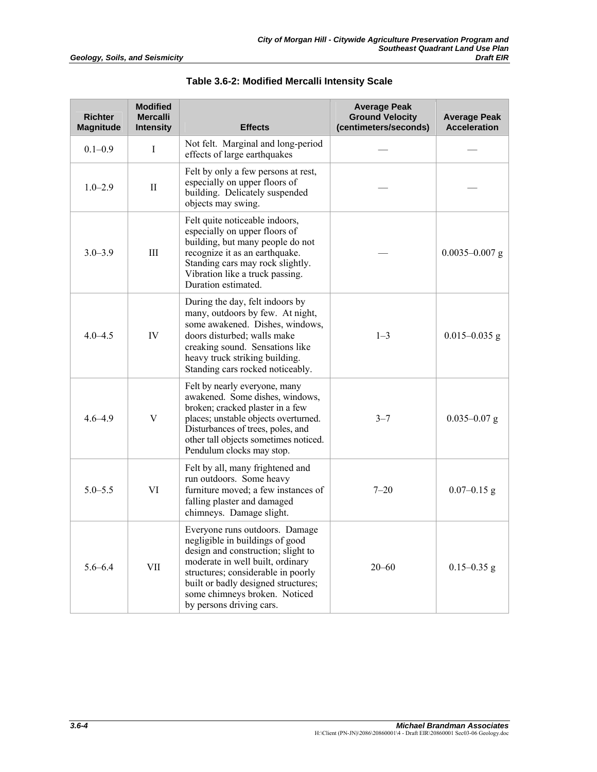| <b>Richter</b><br><b>Magnitude</b> | <b>Modified</b><br><b>Mercalli</b><br><b>Intensity</b> | <b>Effects</b>                                                                                                                                                                                                                                                                        | <b>Average Peak</b><br><b>Ground Velocity</b><br>(centimeters/seconds) | <b>Average Peak</b><br><b>Acceleration</b> |
|------------------------------------|--------------------------------------------------------|---------------------------------------------------------------------------------------------------------------------------------------------------------------------------------------------------------------------------------------------------------------------------------------|------------------------------------------------------------------------|--------------------------------------------|
| $0.1 - 0.9$                        | $\mathbf I$                                            | Not felt. Marginal and long-period<br>effects of large earthquakes                                                                                                                                                                                                                    |                                                                        |                                            |
| $1.0 - 2.9$                        | $\mathbf{I}$                                           | Felt by only a few persons at rest,<br>especially on upper floors of<br>building. Delicately suspended<br>objects may swing.                                                                                                                                                          |                                                                        |                                            |
| $3.0 - 3.9$                        | III                                                    | Felt quite noticeable indoors,<br>especially on upper floors of<br>building, but many people do not<br>recognize it as an earthquake.<br>Standing cars may rock slightly.<br>Vibration like a truck passing.<br>Duration estimated.                                                   |                                                                        | $0.0035 - 0.007$ g                         |
| $4.0 - 4.5$                        | IV                                                     | During the day, felt indoors by<br>many, outdoors by few. At night,<br>some awakened. Dishes, windows,<br>doors disturbed; walls make<br>creaking sound. Sensations like<br>heavy truck striking building.<br>Standing cars rocked noticeably.                                        | $1 - 3$                                                                | $0.015 - 0.035$ g                          |
| $4.6 - 4.9$                        | V                                                      | Felt by nearly everyone, many<br>awakened. Some dishes, windows,<br>broken; cracked plaster in a few<br>places; unstable objects overturned.<br>Disturbances of trees, poles, and<br>other tall objects sometimes noticed.<br>Pendulum clocks may stop.                               | $3 - 7$                                                                | $0.035 - 0.07$ g                           |
| $5.0 - 5.5$                        | VI                                                     | Felt by all, many frightened and<br>run outdoors. Some heavy<br>furniture moved; a few instances of<br>falling plaster and damaged<br>chimneys. Damage slight.                                                                                                                        | $7 - 20$                                                               | $0.07 - 0.15$ g                            |
| $5.6 - 6.4$                        | VII                                                    | Everyone runs outdoors. Damage<br>negligible in buildings of good<br>design and construction; slight to<br>moderate in well built, ordinary<br>structures; considerable in poorly<br>built or badly designed structures;<br>some chimneys broken. Noticed<br>by persons driving cars. | $20 - 60$                                                              | $0.15 - 0.35$ g                            |

**Table 3.6-2: Modified Mercalli Intensity Scale**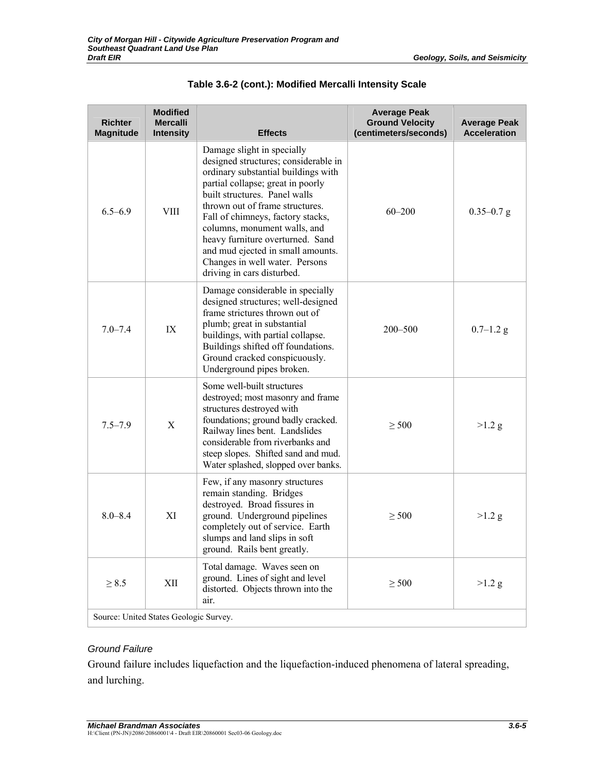| <b>Richter</b><br><b>Magnitude</b>     | <b>Modified</b><br><b>Mercalli</b><br><b>Intensity</b> | <b>Effects</b>                                                                                                                                                                                                                                                                                                                                                                                                                   | <b>Average Peak</b><br><b>Ground Velocity</b><br>(centimeters/seconds) | <b>Average Peak</b><br><b>Acceleration</b> |
|----------------------------------------|--------------------------------------------------------|----------------------------------------------------------------------------------------------------------------------------------------------------------------------------------------------------------------------------------------------------------------------------------------------------------------------------------------------------------------------------------------------------------------------------------|------------------------------------------------------------------------|--------------------------------------------|
| $6.5 - 6.9$                            | <b>VIII</b>                                            | Damage slight in specially<br>designed structures; considerable in<br>ordinary substantial buildings with<br>partial collapse; great in poorly<br>built structures. Panel walls<br>thrown out of frame structures.<br>Fall of chimneys, factory stacks,<br>columns, monument walls, and<br>heavy furniture overturned. Sand<br>and mud ejected in small amounts.<br>Changes in well water. Persons<br>driving in cars disturbed. | $60 - 200$                                                             | $0.35 - 0.7$ g                             |
| $7.0 - 7.4$                            | IX                                                     | Damage considerable in specially<br>designed structures; well-designed<br>frame strictures thrown out of<br>plumb; great in substantial<br>buildings, with partial collapse.<br>Buildings shifted off foundations.<br>Ground cracked conspicuously.<br>Underground pipes broken.                                                                                                                                                 | $200 - 500$                                                            | $0.7 - 1.2$ g                              |
| $7.5 - 7.9$                            | $\mathbf X$                                            | Some well-built structures<br>destroyed; most masonry and frame<br>structures destroyed with<br>foundations; ground badly cracked.<br>Railway lines bent. Landslides<br>considerable from riverbanks and<br>steep slopes. Shifted sand and mud.<br>Water splashed, slopped over banks.                                                                                                                                           | $\geq$ 500                                                             | $>1.2$ g                                   |
| $8.0 - 8.4$                            | XI                                                     | Few, if any masonry structures<br>remain standing. Bridges<br>destroyed. Broad fissures in<br>ground. Underground pipelines<br>completely out of service. Earth<br>slumps and land slips in soft<br>ground. Rails bent greatly.                                                                                                                                                                                                  | $\geq 500$                                                             | $>1.2$ g                                   |
| $\geq 8.5$                             | XII                                                    | Total damage. Waves seen on<br>ground. Lines of sight and level<br>distorted. Objects thrown into the<br>air.                                                                                                                                                                                                                                                                                                                    | $\geq$ 500                                                             | $>1.2$ g                                   |
| Source: United States Geologic Survey. |                                                        |                                                                                                                                                                                                                                                                                                                                                                                                                                  |                                                                        |                                            |

## **Table 3.6-2 (cont.): Modified Mercalli Intensity Scale**

#### *Ground Failure*

Ground failure includes liquefaction and the liquefaction-induced phenomena of lateral spreading, and lurching.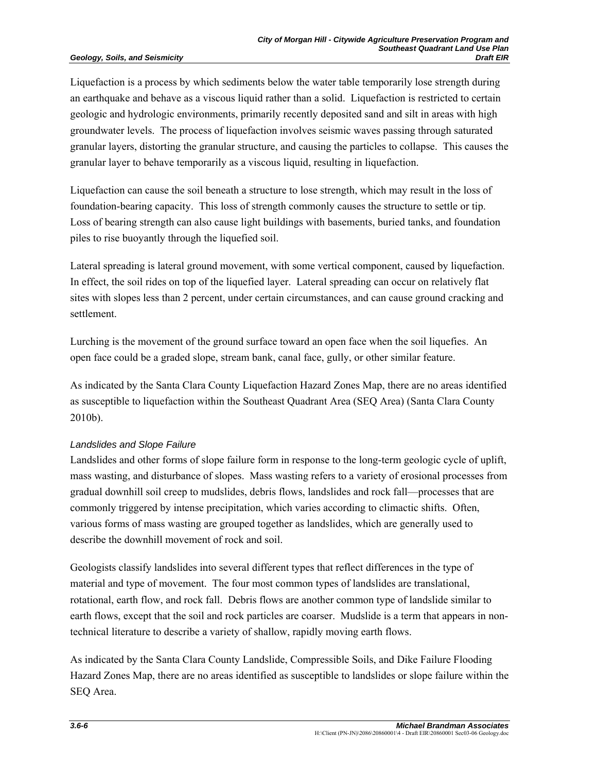Liquefaction is a process by which sediments below the water table temporarily lose strength during an earthquake and behave as a viscous liquid rather than a solid. Liquefaction is restricted to certain geologic and hydrologic environments, primarily recently deposited sand and silt in areas with high groundwater levels. The process of liquefaction involves seismic waves passing through saturated granular layers, distorting the granular structure, and causing the particles to collapse. This causes the granular layer to behave temporarily as a viscous liquid, resulting in liquefaction.

Liquefaction can cause the soil beneath a structure to lose strength, which may result in the loss of foundation-bearing capacity. This loss of strength commonly causes the structure to settle or tip. Loss of bearing strength can also cause light buildings with basements, buried tanks, and foundation piles to rise buoyantly through the liquefied soil.

Lateral spreading is lateral ground movement, with some vertical component, caused by liquefaction. In effect, the soil rides on top of the liquefied layer. Lateral spreading can occur on relatively flat sites with slopes less than 2 percent, under certain circumstances, and can cause ground cracking and settlement.

Lurching is the movement of the ground surface toward an open face when the soil liquefies. An open face could be a graded slope, stream bank, canal face, gully, or other similar feature.

As indicated by the Santa Clara County Liquefaction Hazard Zones Map, there are no areas identified as susceptible to liquefaction within the Southeast Quadrant Area (SEQ Area) (Santa Clara County 2010b).

## *Landslides and Slope Failure*

Landslides and other forms of slope failure form in response to the long-term geologic cycle of uplift, mass wasting, and disturbance of slopes. Mass wasting refers to a variety of erosional processes from gradual downhill soil creep to mudslides, debris flows, landslides and rock fall—processes that are commonly triggered by intense precipitation, which varies according to climactic shifts. Often, various forms of mass wasting are grouped together as landslides, which are generally used to describe the downhill movement of rock and soil.

Geologists classify landslides into several different types that reflect differences in the type of material and type of movement. The four most common types of landslides are translational, rotational, earth flow, and rock fall. Debris flows are another common type of landslide similar to earth flows, except that the soil and rock particles are coarser. Mudslide is a term that appears in nontechnical literature to describe a variety of shallow, rapidly moving earth flows.

As indicated by the Santa Clara County Landslide, Compressible Soils, and Dike Failure Flooding Hazard Zones Map, there are no areas identified as susceptible to landslides or slope failure within the SEQ Area.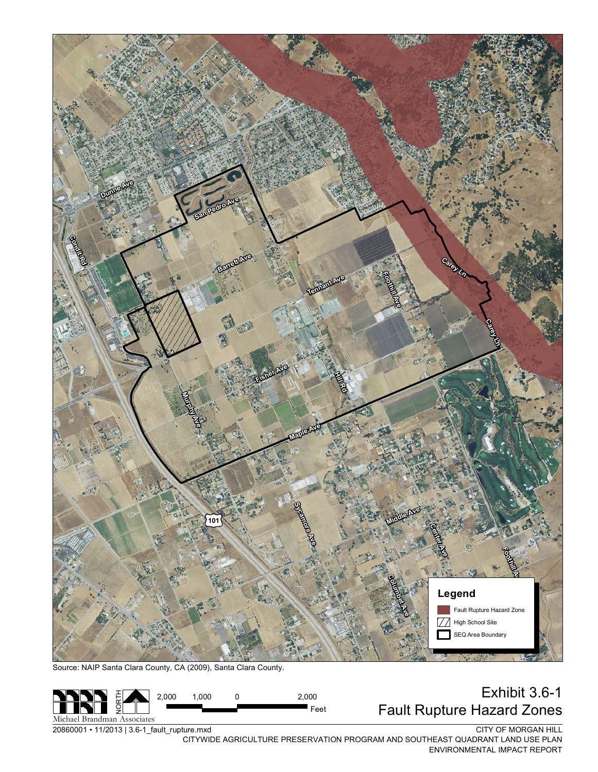

Source: NAIP Santa Clara County, CA (2009), Santa Clara County.



20860001 • 11/2013 | 3.6-1\_fault\_rupture.mxd

CITY OF MORGAN HILL

CITYWIDE AGRICULTURE PRESERVATION PROGRAM AND SOUTHEAST QUADRANT LAND USE PLAN ENVIRONMENTAL IMPACT REPORT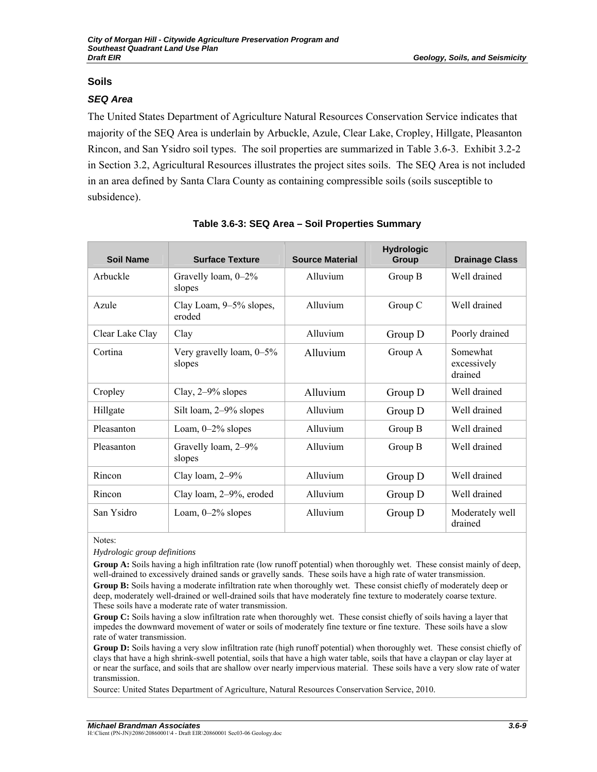## **Soils**

#### *SEQ Area*

The United States Department of Agriculture Natural Resources Conservation Service indicates that majority of the SEQ Area is underlain by Arbuckle, Azule, Clear Lake, Cropley, Hillgate, Pleasanton Rincon, and San Ysidro soil types. The soil properties are summarized in Table 3.6-3. Exhibit 3.2-2 in Section 3.2, Agricultural Resources illustrates the project sites soils. The SEQ Area is not included in an area defined by Santa Clara County as containing compressible soils (soils susceptible to subsidence).

| <b>Soil Name</b> | <b>Surface Texture</b>             | <b>Source Material</b> | <b>Hydrologic</b><br>Group | <b>Drainage Class</b>              |
|------------------|------------------------------------|------------------------|----------------------------|------------------------------------|
| Arbuckle         | Gravelly loam, 0-2%<br>slopes      | Alluvium               | Group B                    | Well drained                       |
| Azule            | Clay Loam, 9–5% slopes,<br>eroded  | Alluvium               | Group C                    | Well drained                       |
| Clear Lake Clay  | Clay                               | Alluvium               | Group D                    | Poorly drained                     |
| Cortina          | Very gravelly loam, 0-5%<br>slopes | Alluvium               | Group A                    | Somewhat<br>excessively<br>drained |
| Cropley          | Clay, $2-9\%$ slopes               | Alluvium               | Group D                    | Well drained                       |
| Hillgate         | Silt loam, 2–9% slopes             | Alluvium               | Group D                    | Well drained                       |
| Pleasanton       | Loam, $0-2\%$ slopes               | Alluvium               | Group B                    | Well drained                       |
| Pleasanton       | Gravelly loam, 2-9%<br>slopes      | Alluvium               | Group B                    | Well drained                       |
| Rincon           | Clay loam, 2-9%                    | Alluvium               | Group D                    | Well drained                       |
| Rincon           | Clay loam, 2–9%, eroded            | Alluvium               | Group D                    | Well drained                       |
| San Ysidro       | Loam, $0-2\%$ slopes               | Alluvium               | Group D                    | Moderately well<br>drained         |

#### **Table 3.6-3: SEQ Area – Soil Properties Summary**

Notes:

*Hydrologic group definitions* 

**Group A:** Soils having a high infiltration rate (low runoff potential) when thoroughly wet. These consist mainly of deep, well-drained to excessively drained sands or gravelly sands. These soils have a high rate of water transmission. **Group B:** Soils having a moderate infiltration rate when thoroughly wet. These consist chiefly of moderately deep or deep, moderately well-drained or well-drained soils that have moderately fine texture to moderately coarse texture. These soils have a moderate rate of water transmission.

**Group C:** Soils having a slow infiltration rate when thoroughly wet. These consist chiefly of soils having a layer that impedes the downward movement of water or soils of moderately fine texture or fine texture. These soils have a slow rate of water transmission.

**Group D:** Soils having a very slow infiltration rate (high runoff potential) when thoroughly wet. These consist chiefly of clays that have a high shrink-swell potential, soils that have a high water table, soils that have a claypan or clay layer at or near the surface, and soils that are shallow over nearly impervious material. These soils have a very slow rate of water transmission.

Source: United States Department of Agriculture, Natural Resources Conservation Service, 2010.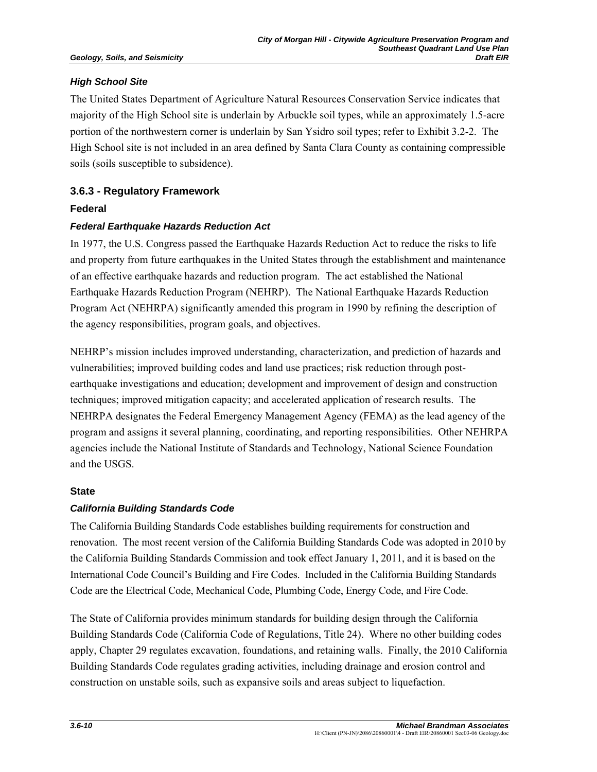## *High School Site*

The United States Department of Agriculture Natural Resources Conservation Service indicates that majority of the High School site is underlain by Arbuckle soil types, while an approximately 1.5-acre portion of the northwestern corner is underlain by San Ysidro soil types; refer to Exhibit 3.2-2. The High School site is not included in an area defined by Santa Clara County as containing compressible soils (soils susceptible to subsidence).

# **3.6.3 - Regulatory Framework**

## **Federal**

## *Federal Earthquake Hazards Reduction Act*

In 1977, the U.S. Congress passed the Earthquake Hazards Reduction Act to reduce the risks to life and property from future earthquakes in the United States through the establishment and maintenance of an effective earthquake hazards and reduction program. The act established the National Earthquake Hazards Reduction Program (NEHRP). The National Earthquake Hazards Reduction Program Act (NEHRPA) significantly amended this program in 1990 by refining the description of the agency responsibilities, program goals, and objectives.

NEHRP's mission includes improved understanding, characterization, and prediction of hazards and vulnerabilities; improved building codes and land use practices; risk reduction through postearthquake investigations and education; development and improvement of design and construction techniques; improved mitigation capacity; and accelerated application of research results. The NEHRPA designates the Federal Emergency Management Agency (FEMA) as the lead agency of the program and assigns it several planning, coordinating, and reporting responsibilities. Other NEHRPA agencies include the National Institute of Standards and Technology, National Science Foundation and the USGS.

## **State**

# *California Building Standards Code*

The California Building Standards Code establishes building requirements for construction and renovation. The most recent version of the California Building Standards Code was adopted in 2010 by the California Building Standards Commission and took effect January 1, 2011, and it is based on the International Code Council's Building and Fire Codes. Included in the California Building Standards Code are the Electrical Code, Mechanical Code, Plumbing Code, Energy Code, and Fire Code.

The State of California provides minimum standards for building design through the California Building Standards Code (California Code of Regulations, Title 24). Where no other building codes apply, Chapter 29 regulates excavation, foundations, and retaining walls. Finally, the 2010 California Building Standards Code regulates grading activities, including drainage and erosion control and construction on unstable soils, such as expansive soils and areas subject to liquefaction.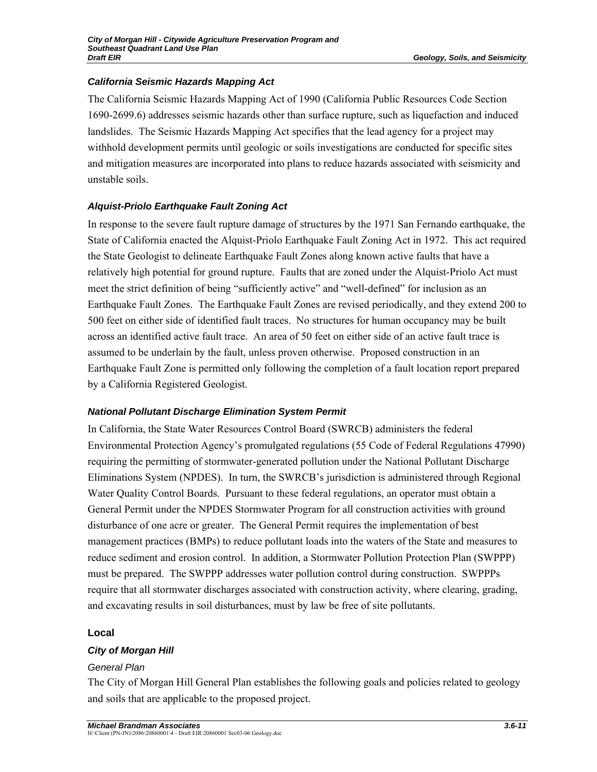## *California Seismic Hazards Mapping Act*

The California Seismic Hazards Mapping Act of 1990 (California Public Resources Code Section 1690-2699.6) addresses seismic hazards other than surface rupture, such as liquefaction and induced landslides. The Seismic Hazards Mapping Act specifies that the lead agency for a project may withhold development permits until geologic or soils investigations are conducted for specific sites and mitigation measures are incorporated into plans to reduce hazards associated with seismicity and unstable soils.

# *Alquist-Priolo Earthquake Fault Zoning Act*

In response to the severe fault rupture damage of structures by the 1971 San Fernando earthquake, the State of California enacted the Alquist-Priolo Earthquake Fault Zoning Act in 1972. This act required the State Geologist to delineate Earthquake Fault Zones along known active faults that have a relatively high potential for ground rupture. Faults that are zoned under the Alquist-Priolo Act must meet the strict definition of being "sufficiently active" and "well-defined" for inclusion as an Earthquake Fault Zones. The Earthquake Fault Zones are revised periodically, and they extend 200 to 500 feet on either side of identified fault traces. No structures for human occupancy may be built across an identified active fault trace. An area of 50 feet on either side of an active fault trace is assumed to be underlain by the fault, unless proven otherwise. Proposed construction in an Earthquake Fault Zone is permitted only following the completion of a fault location report prepared by a California Registered Geologist.

## *National Pollutant Discharge Elimination System Permit*

In California, the State Water Resources Control Board (SWRCB) administers the federal Environmental Protection Agency's promulgated regulations (55 Code of Federal Regulations 47990) requiring the permitting of stormwater-generated pollution under the National Pollutant Discharge Eliminations System (NPDES). In turn, the SWRCB's jurisdiction is administered through Regional Water Quality Control Boards. Pursuant to these federal regulations, an operator must obtain a General Permit under the NPDES Stormwater Program for all construction activities with ground disturbance of one acre or greater. The General Permit requires the implementation of best management practices (BMPs) to reduce pollutant loads into the waters of the State and measures to reduce sediment and erosion control. In addition, a Stormwater Pollution Protection Plan (SWPPP) must be prepared. The SWPPP addresses water pollution control during construction. SWPPPs require that all stormwater discharges associated with construction activity, where clearing, grading, and excavating results in soil disturbances, must by law be free of site pollutants.

## **Local**

# *City of Morgan Hill*

## *General Plan*

The City of Morgan Hill General Plan establishes the following goals and policies related to geology and soils that are applicable to the proposed project.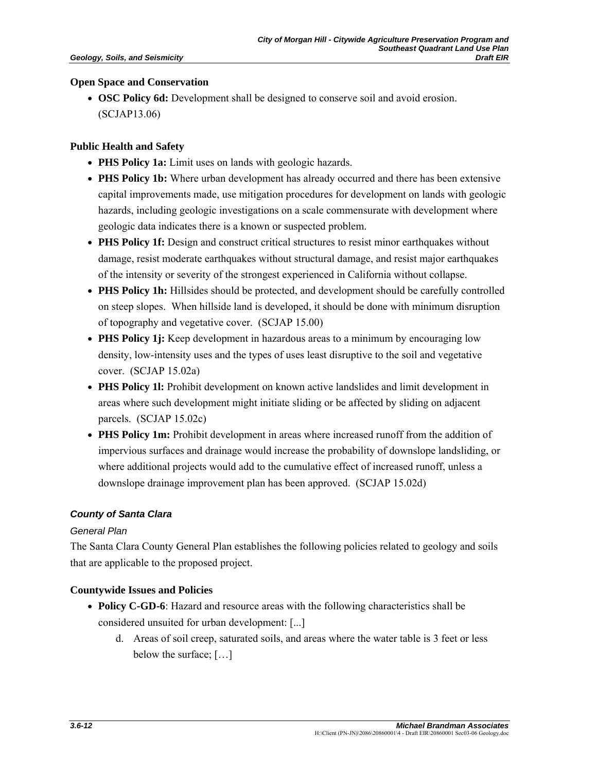#### **Open Space and Conservation**

• **OSC Policy 6d:** Development shall be designed to conserve soil and avoid erosion. (SCJAP13.06)

#### **Public Health and Safety**

- **PHS Policy 1a:** Limit uses on lands with geologic hazards.
- **PHS Policy 1b:** Where urban development has already occurred and there has been extensive capital improvements made, use mitigation procedures for development on lands with geologic hazards, including geologic investigations on a scale commensurate with development where geologic data indicates there is a known or suspected problem.
- **PHS Policy 1f:** Design and construct critical structures to resist minor earthquakes without damage, resist moderate earthquakes without structural damage, and resist major earthquakes of the intensity or severity of the strongest experienced in California without collapse.
- **PHS Policy 1h:** Hillsides should be protected, and development should be carefully controlled on steep slopes. When hillside land is developed, it should be done with minimum disruption of topography and vegetative cover. (SCJAP 15.00)
- **PHS Policy 1**; Keep development in hazardous areas to a minimum by encouraging low density, low-intensity uses and the types of uses least disruptive to the soil and vegetative cover. (SCJAP 15.02a)
- **PHS Policy 1l:** Prohibit development on known active landslides and limit development in areas where such development might initiate sliding or be affected by sliding on adjacent parcels. (SCJAP 15.02c)
- **PHS Policy 1m:** Prohibit development in areas where increased runoff from the addition of impervious surfaces and drainage would increase the probability of downslope landsliding, or where additional projects would add to the cumulative effect of increased runoff, unless a downslope drainage improvement plan has been approved. (SCJAP 15.02d)

## *County of Santa Clara*

## *General Plan*

The Santa Clara County General Plan establishes the following policies related to geology and soils that are applicable to the proposed project.

## **Countywide Issues and Policies**

- **Policy C-GD-6**: Hazard and resource areas with the following characteristics shall be considered unsuited for urban development: [...]
	- d. Areas of soil creep, saturated soils, and areas where the water table is 3 feet or less below the surface; […]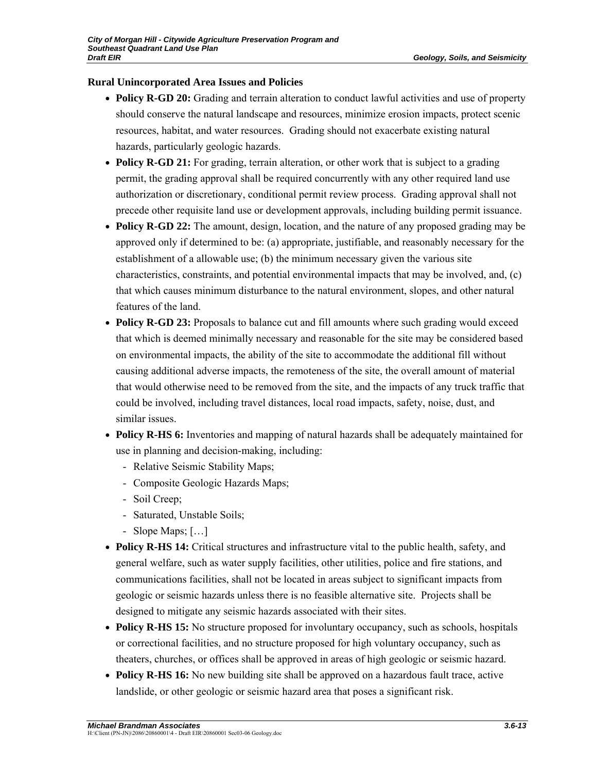## **Rural Unincorporated Area Issues and Policies**

- **Policy R-GD 20:** Grading and terrain alteration to conduct lawful activities and use of property should conserve the natural landscape and resources, minimize erosion impacts, protect scenic resources, habitat, and water resources. Grading should not exacerbate existing natural hazards, particularly geologic hazards.
- **Policy R-GD 21:** For grading, terrain alteration, or other work that is subject to a grading permit, the grading approval shall be required concurrently with any other required land use authorization or discretionary, conditional permit review process. Grading approval shall not precede other requisite land use or development approvals, including building permit issuance.
- **Policy R-GD 22:** The amount, design, location, and the nature of any proposed grading may be approved only if determined to be: (a) appropriate, justifiable, and reasonably necessary for the establishment of a allowable use; (b) the minimum necessary given the various site characteristics, constraints, and potential environmental impacts that may be involved, and, (c) that which causes minimum disturbance to the natural environment, slopes, and other natural features of the land.
- **Policy R-GD 23:** Proposals to balance cut and fill amounts where such grading would exceed that which is deemed minimally necessary and reasonable for the site may be considered based on environmental impacts, the ability of the site to accommodate the additional fill without causing additional adverse impacts, the remoteness of the site, the overall amount of material that would otherwise need to be removed from the site, and the impacts of any truck traffic that could be involved, including travel distances, local road impacts, safety, noise, dust, and similar issues.
- **Policy R-HS 6:** Inventories and mapping of natural hazards shall be adequately maintained for use in planning and decision-making, including:
	- Relative Seismic Stability Maps;
	- Composite Geologic Hazards Maps;
	- Soil Creep;
	- Saturated, Unstable Soils;
	- Slope Maps; […]
- **Policy R-HS 14:** Critical structures and infrastructure vital to the public health, safety, and general welfare, such as water supply facilities, other utilities, police and fire stations, and communications facilities, shall not be located in areas subject to significant impacts from geologic or seismic hazards unless there is no feasible alternative site. Projects shall be designed to mitigate any seismic hazards associated with their sites.
- **Policy R-HS 15:** No structure proposed for involuntary occupancy, such as schools, hospitals or correctional facilities, and no structure proposed for high voluntary occupancy, such as theaters, churches, or offices shall be approved in areas of high geologic or seismic hazard.
- **Policy R-HS 16:** No new building site shall be approved on a hazardous fault trace, active landslide, or other geologic or seismic hazard area that poses a significant risk.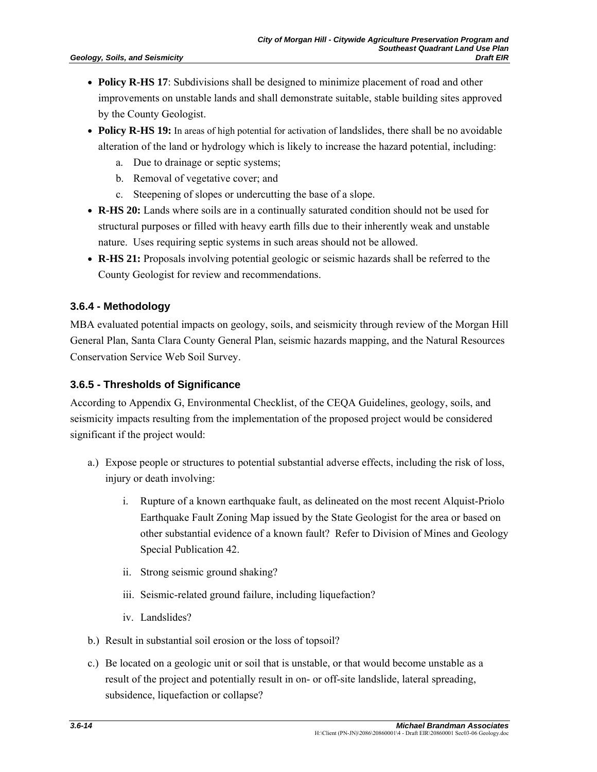- **Policy R-HS 17**: Subdivisions shall be designed to minimize placement of road and other improvements on unstable lands and shall demonstrate suitable, stable building sites approved by the County Geologist.
- **Policy R-HS 19:** In areas of high potential for activation of landslides, there shall be no avoidable alteration of the land or hydrology which is likely to increase the hazard potential, including:
	- a. Due to drainage or septic systems;
	- b. Removal of vegetative cover; and
	- c. Steepening of slopes or undercutting the base of a slope.
- **R-HS 20:** Lands where soils are in a continually saturated condition should not be used for structural purposes or filled with heavy earth fills due to their inherently weak and unstable nature. Uses requiring septic systems in such areas should not be allowed.
- **R-HS 21:** Proposals involving potential geologic or seismic hazards shall be referred to the County Geologist for review and recommendations.

## **3.6.4 - Methodology**

MBA evaluated potential impacts on geology, soils, and seismicity through review of the Morgan Hill General Plan, Santa Clara County General Plan, seismic hazards mapping, and the Natural Resources Conservation Service Web Soil Survey.

## **3.6.5 - Thresholds of Significance**

According to Appendix G, Environmental Checklist, of the CEQA Guidelines, geology, soils, and seismicity impacts resulting from the implementation of the proposed project would be considered significant if the project would:

- a.) Expose people or structures to potential substantial adverse effects, including the risk of loss, injury or death involving:
	- i. Rupture of a known earthquake fault, as delineated on the most recent Alquist-Priolo Earthquake Fault Zoning Map issued by the State Geologist for the area or based on other substantial evidence of a known fault? Refer to Division of Mines and Geology Special Publication 42.
	- ii. Strong seismic ground shaking?
	- iii. Seismic-related ground failure, including liquefaction?
	- iv. Landslides?
- b.) Result in substantial soil erosion or the loss of topsoil?
- c.) Be located on a geologic unit or soil that is unstable, or that would become unstable as a result of the project and potentially result in on- or off-site landslide, lateral spreading, subsidence, liquefaction or collapse?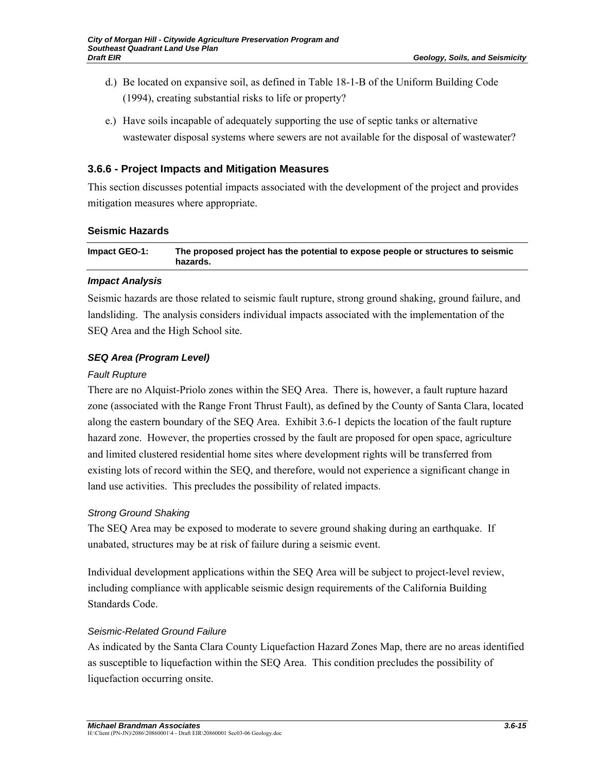- d.) Be located on expansive soil, as defined in Table 18-1-B of the Uniform Building Code (1994), creating substantial risks to life or property?
- e.) Have soils incapable of adequately supporting the use of septic tanks or alternative wastewater disposal systems where sewers are not available for the disposal of wastewater?

# **3.6.6 - Project Impacts and Mitigation Measures**

This section discusses potential impacts associated with the development of the project and provides mitigation measures where appropriate.

## **Seismic Hazards**

| Impact GEO-1: | The proposed project has the potential to expose people or structures to seismic<br>hazards. |
|---------------|----------------------------------------------------------------------------------------------|
|               |                                                                                              |

## *Impact Analysis*

Seismic hazards are those related to seismic fault rupture, strong ground shaking, ground failure, and landsliding. The analysis considers individual impacts associated with the implementation of the SEQ Area and the High School site.

# *SEQ Area (Program Level)*

## *Fault Rupture*

There are no Alquist-Priolo zones within the SEQ Area. There is, however, a fault rupture hazard zone (associated with the Range Front Thrust Fault), as defined by the County of Santa Clara, located along the eastern boundary of the SEQ Area. Exhibit 3.6-1 depicts the location of the fault rupture hazard zone. However, the properties crossed by the fault are proposed for open space, agriculture and limited clustered residential home sites where development rights will be transferred from existing lots of record within the SEQ, and therefore, would not experience a significant change in land use activities. This precludes the possibility of related impacts.

# *Strong Ground Shaking*

The SEQ Area may be exposed to moderate to severe ground shaking during an earthquake. If unabated, structures may be at risk of failure during a seismic event.

Individual development applications within the SEQ Area will be subject to project-level review, including compliance with applicable seismic design requirements of the California Building Standards Code.

## *Seismic-Related Ground Failure*

As indicated by the Santa Clara County Liquefaction Hazard Zones Map, there are no areas identified as susceptible to liquefaction within the SEQ Area. This condition precludes the possibility of liquefaction occurring onsite.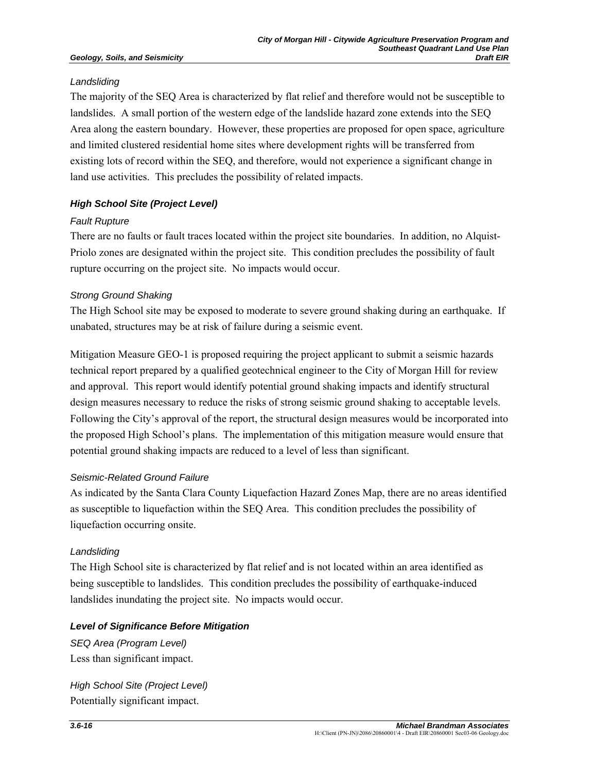## *Landsliding*

The majority of the SEQ Area is characterized by flat relief and therefore would not be susceptible to landslides. A small portion of the western edge of the landslide hazard zone extends into the SEQ Area along the eastern boundary. However, these properties are proposed for open space, agriculture and limited clustered residential home sites where development rights will be transferred from existing lots of record within the SEQ, and therefore, would not experience a significant change in land use activities. This precludes the possibility of related impacts.

# *High School Site (Project Level)*

# *Fault Rupture*

There are no faults or fault traces located within the project site boundaries. In addition, no Alquist-Priolo zones are designated within the project site. This condition precludes the possibility of fault rupture occurring on the project site. No impacts would occur.

# *Strong Ground Shaking*

The High School site may be exposed to moderate to severe ground shaking during an earthquake. If unabated, structures may be at risk of failure during a seismic event.

Mitigation Measure GEO-1 is proposed requiring the project applicant to submit a seismic hazards technical report prepared by a qualified geotechnical engineer to the City of Morgan Hill for review and approval. This report would identify potential ground shaking impacts and identify structural design measures necessary to reduce the risks of strong seismic ground shaking to acceptable levels. Following the City's approval of the report, the structural design measures would be incorporated into the proposed High School's plans. The implementation of this mitigation measure would ensure that potential ground shaking impacts are reduced to a level of less than significant.

# *Seismic-Related Ground Failure*

As indicated by the Santa Clara County Liquefaction Hazard Zones Map, there are no areas identified as susceptible to liquefaction within the SEQ Area. This condition precludes the possibility of liquefaction occurring onsite.

## *Landsliding*

The High School site is characterized by flat relief and is not located within an area identified as being susceptible to landslides. This condition precludes the possibility of earthquake-induced landslides inundating the project site. No impacts would occur.

## *Level of Significance Before Mitigation*

*SEQ Area (Program Level)*  Less than significant impact.

*High School Site (Project Level)*  Potentially significant impact.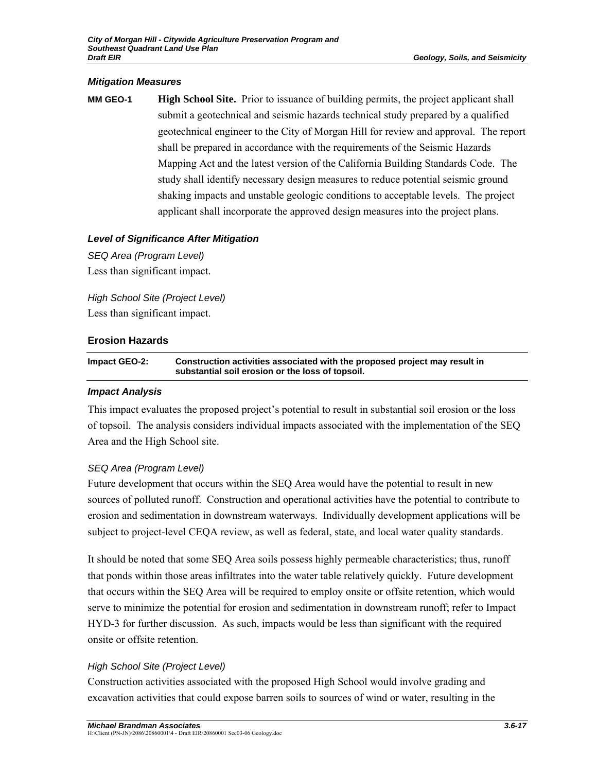#### *Mitigation Measures*

**MM GEO-1 High School Site.** Prior to issuance of building permits, the project applicant shall submit a geotechnical and seismic hazards technical study prepared by a qualified geotechnical engineer to the City of Morgan Hill for review and approval. The report shall be prepared in accordance with the requirements of the Seismic Hazards Mapping Act and the latest version of the California Building Standards Code. The study shall identify necessary design measures to reduce potential seismic ground shaking impacts and unstable geologic conditions to acceptable levels. The project applicant shall incorporate the approved design measures into the project plans.

## *Level of Significance After Mitigation*

*SEQ Area (Program Level)*  Less than significant impact.

*High School Site (Project Level)*  Less than significant impact.

# **Erosion Hazards**

**Impact GEO-2: Construction activities associated with the proposed project may result in substantial soil erosion or the loss of topsoil.** 

#### *Impact Analysis*

This impact evaluates the proposed project's potential to result in substantial soil erosion or the loss of topsoil. The analysis considers individual impacts associated with the implementation of the SEQ Area and the High School site.

## *SEQ Area (Program Level)*

Future development that occurs within the SEQ Area would have the potential to result in new sources of polluted runoff. Construction and operational activities have the potential to contribute to erosion and sedimentation in downstream waterways. Individually development applications will be subject to project-level CEQA review, as well as federal, state, and local water quality standards.

It should be noted that some SEQ Area soils possess highly permeable characteristics; thus, runoff that ponds within those areas infiltrates into the water table relatively quickly. Future development that occurs within the SEQ Area will be required to employ onsite or offsite retention, which would serve to minimize the potential for erosion and sedimentation in downstream runoff; refer to Impact HYD-3 for further discussion. As such, impacts would be less than significant with the required onsite or offsite retention.

## *High School Site (Project Level)*

Construction activities associated with the proposed High School would involve grading and excavation activities that could expose barren soils to sources of wind or water, resulting in the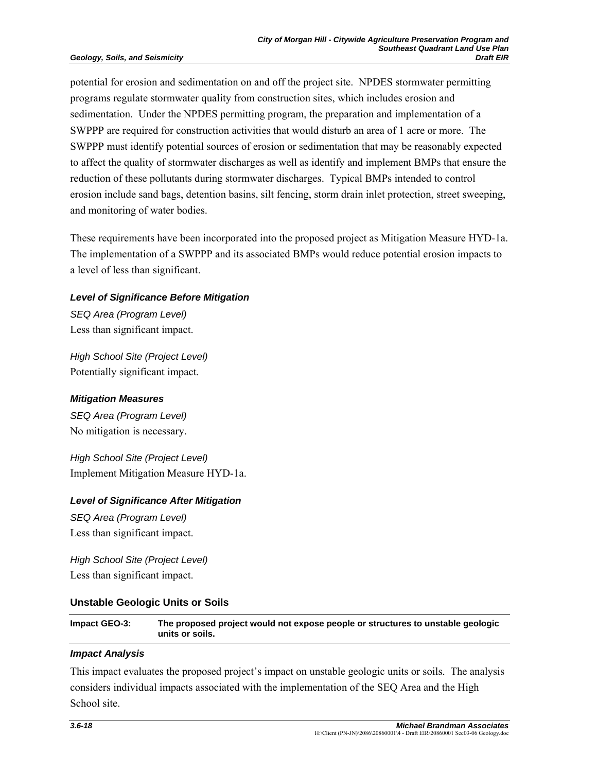potential for erosion and sedimentation on and off the project site. NPDES stormwater permitting programs regulate stormwater quality from construction sites, which includes erosion and sedimentation. Under the NPDES permitting program, the preparation and implementation of a SWPPP are required for construction activities that would disturb an area of 1 acre or more. The SWPPP must identify potential sources of erosion or sedimentation that may be reasonably expected to affect the quality of stormwater discharges as well as identify and implement BMPs that ensure the reduction of these pollutants during stormwater discharges. Typical BMPs intended to control erosion include sand bags, detention basins, silt fencing, storm drain inlet protection, street sweeping, and monitoring of water bodies.

These requirements have been incorporated into the proposed project as Mitigation Measure HYD-1a. The implementation of a SWPPP and its associated BMPs would reduce potential erosion impacts to a level of less than significant.

## *Level of Significance Before Mitigation*

*SEQ Area (Program Level)*  Less than significant impact.

*High School Site (Project Level)*  Potentially significant impact.

#### *Mitigation Measures*

*SEQ Area (Program Level)*  No mitigation is necessary.

*High School Site (Project Level)*  Implement Mitigation Measure HYD-1a.

#### *Level of Significance After Mitigation*

*SEQ Area (Program Level)*  Less than significant impact.

*High School Site (Project Level)*  Less than significant impact.

## **Unstable Geologic Units or Soils**

**Impact GEO-3: The proposed project would not expose people or structures to unstable geologic units or soils.** 

#### *Impact Analysis*

This impact evaluates the proposed project's impact on unstable geologic units or soils. The analysis considers individual impacts associated with the implementation of the SEQ Area and the High School site.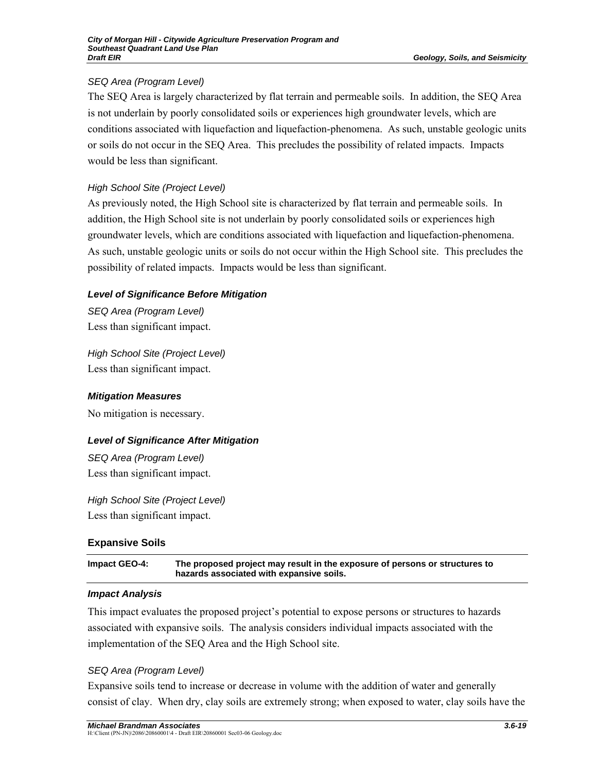# *SEQ Area (Program Level)*

The SEQ Area is largely characterized by flat terrain and permeable soils. In addition, the SEQ Area is not underlain by poorly consolidated soils or experiences high groundwater levels, which are conditions associated with liquefaction and liquefaction-phenomena. As such, unstable geologic units or soils do not occur in the SEQ Area. This precludes the possibility of related impacts. Impacts would be less than significant.

# *High School Site (Project Level)*

As previously noted, the High School site is characterized by flat terrain and permeable soils. In addition, the High School site is not underlain by poorly consolidated soils or experiences high groundwater levels, which are conditions associated with liquefaction and liquefaction-phenomena. As such, unstable geologic units or soils do not occur within the High School site. This precludes the possibility of related impacts. Impacts would be less than significant.

## *Level of Significance Before Mitigation*

*SEQ Area (Program Level)*  Less than significant impact.

*High School Site (Project Level)*  Less than significant impact.

## *Mitigation Measures*

No mitigation is necessary.

# *Level of Significance After Mitigation*

*SEQ Area (Program Level)*  Less than significant impact.

*High School Site (Project Level)*  Less than significant impact.

# **Expansive Soils**

| Impact GEO-4: | The proposed project may result in the exposure of persons or structures to |
|---------------|-----------------------------------------------------------------------------|
|               | hazards associated with expansive soils.                                    |

## *Impact Analysis*

This impact evaluates the proposed project's potential to expose persons or structures to hazards associated with expansive soils. The analysis considers individual impacts associated with the implementation of the SEQ Area and the High School site.

## *SEQ Area (Program Level)*

Expansive soils tend to increase or decrease in volume with the addition of water and generally consist of clay. When dry, clay soils are extremely strong; when exposed to water, clay soils have the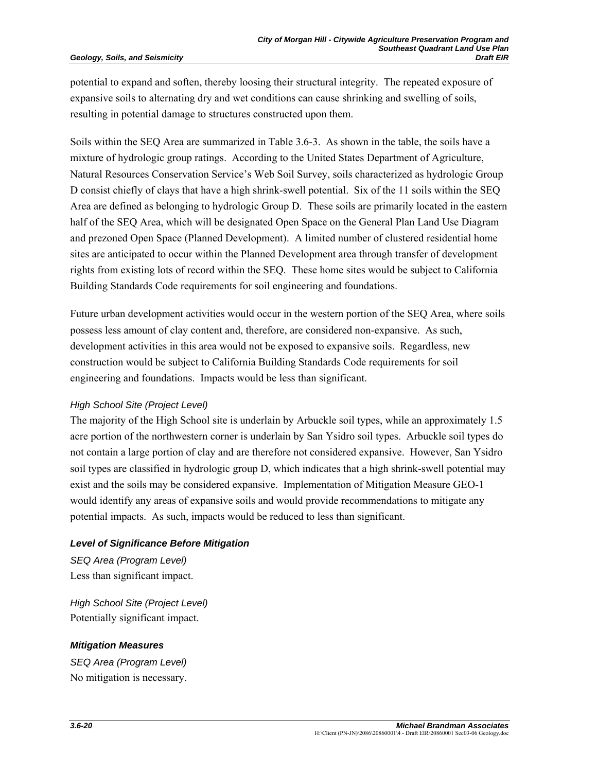potential to expand and soften, thereby loosing their structural integrity. The repeated exposure of expansive soils to alternating dry and wet conditions can cause shrinking and swelling of soils, resulting in potential damage to structures constructed upon them.

Soils within the SEQ Area are summarized in Table 3.6-3. As shown in the table, the soils have a mixture of hydrologic group ratings. According to the United States Department of Agriculture, Natural Resources Conservation Service's Web Soil Survey, soils characterized as hydrologic Group D consist chiefly of clays that have a high shrink-swell potential. Six of the 11 soils within the SEQ Area are defined as belonging to hydrologic Group D. These soils are primarily located in the eastern half of the SEQ Area, which will be designated Open Space on the General Plan Land Use Diagram and prezoned Open Space (Planned Development). A limited number of clustered residential home sites are anticipated to occur within the Planned Development area through transfer of development rights from existing lots of record within the SEQ. These home sites would be subject to California Building Standards Code requirements for soil engineering and foundations.

Future urban development activities would occur in the western portion of the SEQ Area, where soils possess less amount of clay content and, therefore, are considered non-expansive. As such, development activities in this area would not be exposed to expansive soils. Regardless, new construction would be subject to California Building Standards Code requirements for soil engineering and foundations. Impacts would be less than significant.

## *High School Site (Project Level)*

The majority of the High School site is underlain by Arbuckle soil types, while an approximately 1.5 acre portion of the northwestern corner is underlain by San Ysidro soil types. Arbuckle soil types do not contain a large portion of clay and are therefore not considered expansive. However, San Ysidro soil types are classified in hydrologic group D, which indicates that a high shrink-swell potential may exist and the soils may be considered expansive. Implementation of Mitigation Measure GEO-1 would identify any areas of expansive soils and would provide recommendations to mitigate any potential impacts. As such, impacts would be reduced to less than significant.

## *Level of Significance Before Mitigation*

*SEQ Area (Program Level)*  Less than significant impact.

*High School Site (Project Level)*  Potentially significant impact.

## *Mitigation Measures*

*SEQ Area (Program Level)*  No mitigation is necessary.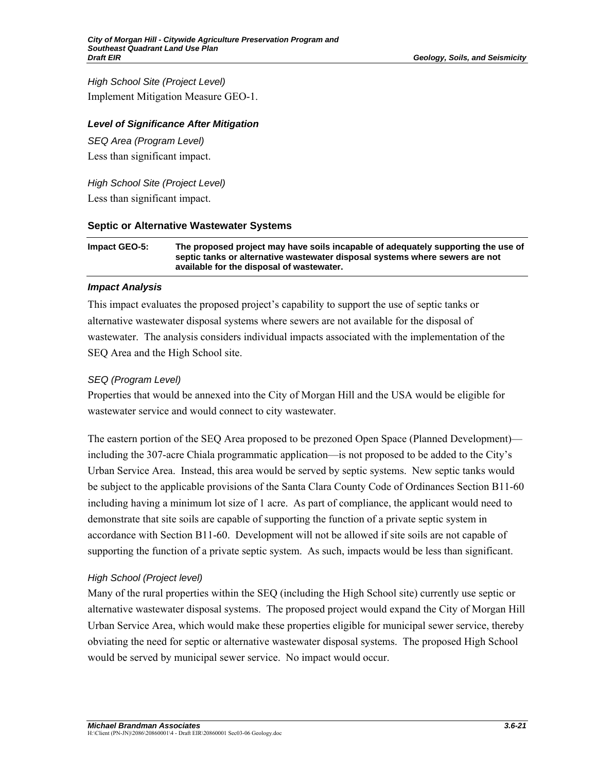*High School Site (Project Level)*  Implement Mitigation Measure GEO-1.

## *Level of Significance After Mitigation*

*SEQ Area (Program Level)*  Less than significant impact.

*High School Site (Project Level)*  Less than significant impact.

#### **Septic or Alternative Wastewater Systems**

**Impact GEO-5: The proposed project may have soils incapable of adequately supporting the use of septic tanks or alternative wastewater disposal systems where sewers are not available for the disposal of wastewater.** 

#### *Impact Analysis*

This impact evaluates the proposed project's capability to support the use of septic tanks or alternative wastewater disposal systems where sewers are not available for the disposal of wastewater. The analysis considers individual impacts associated with the implementation of the SEQ Area and the High School site.

## *SEQ (Program Level)*

Properties that would be annexed into the City of Morgan Hill and the USA would be eligible for wastewater service and would connect to city wastewater.

The eastern portion of the SEQ Area proposed to be prezoned Open Space (Planned Development) including the 307-acre Chiala programmatic application—is not proposed to be added to the City's Urban Service Area. Instead, this area would be served by septic systems. New septic tanks would be subject to the applicable provisions of the Santa Clara County Code of Ordinances Section B11-60 including having a minimum lot size of 1 acre. As part of compliance, the applicant would need to demonstrate that site soils are capable of supporting the function of a private septic system in accordance with Section B11-60. Development will not be allowed if site soils are not capable of supporting the function of a private septic system. As such, impacts would be less than significant.

## *High School (Project level)*

Many of the rural properties within the SEQ (including the High School site) currently use septic or alternative wastewater disposal systems. The proposed project would expand the City of Morgan Hill Urban Service Area, which would make these properties eligible for municipal sewer service, thereby obviating the need for septic or alternative wastewater disposal systems. The proposed High School would be served by municipal sewer service. No impact would occur.